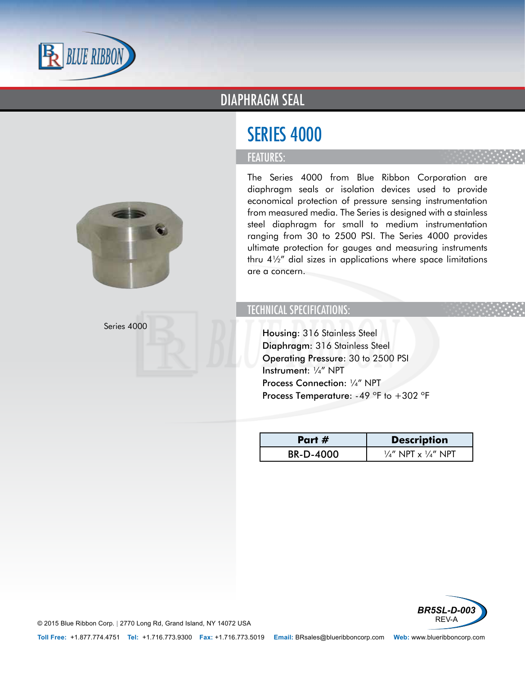

### DIAPHRAGM SEAL

# SERIES 4000

#### FEATURES:



Series 4000

The Series 4000 from Blue Ribbon Corporation are diaphragm seals or isolation devices used to provide economical protection of pressure sensing instrumentation from measured media. The Series is designed with a stainless steel diaphragm for small to medium instrumentation ranging from 30 to 2500 PSI. The Series 4000 provides ultimate protection for gauges and measuring instruments thru 4½" dial sizes in applications where space limitations are a concern.

### TECHNICAL SPECIFICATIONS:

- Housing: 316 Stainless Steel
- Diaphragm: 316 Stainless Steel
- Operating Pressure: 30 to 2500 PSI
- Instrument: ¼" NPT
- Process Connection: 1/4" NPT
- Process Temperature:  $-49$  °F to  $+302$  °F

| Part #           | <b>Description</b>                        |
|------------------|-------------------------------------------|
| <b>BR-D-4000</b> | $\frac{1}{4}$ " NPT x $\frac{1}{4}$ " NPT |



© 2015 Blue Ribbon Corp. *<sup>|</sup>* 2770 Long Rd, Grand Island, NY 14072 USA

**Toll Free:** +1.877.774.4751 **Tel:** +1.716.773.9300 **Fax:** +1.716.773.5019 **Email:** BRsales@blueribboncorp.com **Web:** www.blueribboncorp.com